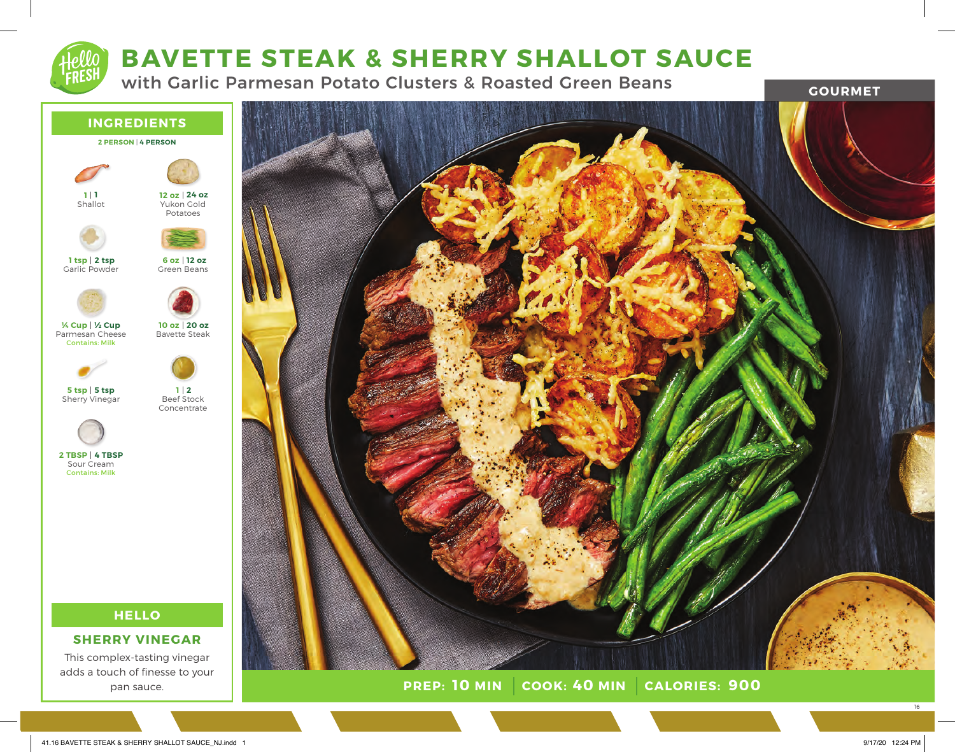# **BAVETTE STEAK & SHERRY SHALLOT SAUCE**

with Garlic Parmesan Potato Clusters & Roasted Green Beans

**GOURMET**



pan sauce.



**PREP: 10 MIN** | COOK: 40 MIN | CALORIES: 900

16